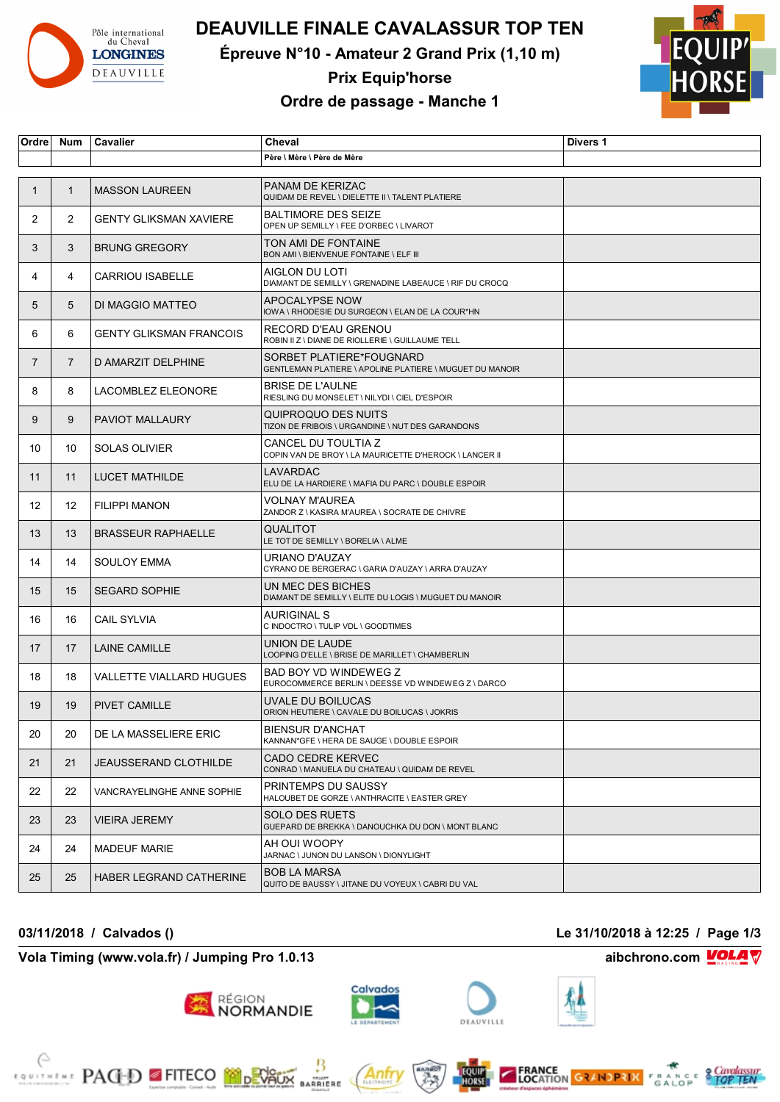

# **DEAUVILLE FINALE CAVALASSUR TOP TEN**

**Épreuve N°10 - Amateur 2 Grand Prix (1,10 m)**



**Prix Equip'horse**

# **Ordre de passage - Manche 1**

| Ordre          | <b>Num</b>     | Cavalier                       | Cheval                                                                               | Divers 1 |
|----------------|----------------|--------------------------------|--------------------------------------------------------------------------------------|----------|
|                |                |                                | Père \ Mère \ Père de Mère                                                           |          |
|                |                |                                |                                                                                      |          |
| 1              | $\mathbf{1}$   | <b>MASSON LAUREEN</b>          | <b>PANAM DE KERIZAC</b><br>QUIDAM DE REVEL \ DIELETTE II \ TALENT PLATIERE           |          |
| 2              | 2              | <b>GENTY GLIKSMAN XAVIERE</b>  | <b>BALTIMORE DES SEIZE</b><br>OPEN UP SEMILLY \ FEE D'ORBEC \ LIVAROT                |          |
| 3              | 3              | <b>BRUNG GREGORY</b>           | TON AMI DE FONTAINE<br>BON AMI \ BIENVENUE FONTAINE \ ELF III                        |          |
| 4              | 4              | <b>CARRIOU ISABELLE</b>        | AIGLON DU LOTI<br>DIAMANT DE SEMILLY \ GRENADINE LABEAUCE \ RIF DU CROCQ             |          |
| 5              | 5              | DI MAGGIO MATTEO               | APOCALYPSE NOW<br>IOWA \ RHODESIE DU SURGEON \ ELAN DE LA COUR*HN                    |          |
| 6              | 6              | <b>GENTY GLIKSMAN FRANCOIS</b> | RECORD D'EAU GRENOU<br>ROBIN II Z \ DIANE DE RIOLLERIE \ GUILLAUME TELL              |          |
| $\overline{7}$ | $\overline{7}$ | D AMARZIT DELPHINE             | SORBET PLATIERE*FOUGNARD<br>GENTLEMAN PLATIERE \ APOLINE PLATIERE \ MUGUET DU MANOIR |          |
| 8              | 8              | LACOMBLEZ ELEONORE             | <b>BRISE DE L'AULNE</b><br>RIESLING DU MONSELET \ NILYDI \ CIEL D'ESPOIR             |          |
| 9              | 9              | PAVIOT MALLAURY                | QUIPROQUO DES NUITS<br>TIZON DE FRIBOIS \ URGANDINE \ NUT DES GARANDONS              |          |
| 10             | 10             | <b>SOLAS OLIVIER</b>           | CANCEL DU TOULTIA Z<br>COPIN VAN DE BROY \ LA MAURICETTE D'HEROCK \ LANCER II        |          |
| 11             | 11             | <b>LUCET MATHILDE</b>          | LAVARDAC<br>ELU DE LA HARDIERE \ MAFIA DU PARC \ DOUBLE ESPOIR                       |          |
| 12             | 12             | <b>FILIPPI MANON</b>           | <b>VOLNAY M'AUREA</b><br>ZANDOR Z \ KASIRA M'AUREA \ SOCRATE DE CHIVRE               |          |
| 13             | 13             | <b>BRASSEUR RAPHAELLE</b>      | QUALITOT<br>LE TOT DE SEMILLY \ BORELIA \ ALME                                       |          |
| 14             | 14             | <b>SOULOY EMMA</b>             | URIANO D'AUZAY<br>CYRANO DE BERGERAC \ GARIA D'AUZAY \ ARRA D'AUZAY                  |          |
| 15             | 15             | <b>SEGARD SOPHIE</b>           | UN MEC DES BICHES<br>DIAMANT DE SEMILLY \ ELITE DU LOGIS \ MUGUET DU MANOIR          |          |
| 16             | 16             | <b>CAIL SYLVIA</b>             | <b>AURIGINAL S</b><br>C INDOCTRO \ TULIP VDL \ GOODTIMES                             |          |
| 17             | 17             | <b>LAINE CAMILLE</b>           | UNION DE LAUDE<br>LOOPING D'ELLE \ BRISE DE MARILLET \ CHAMBERLIN                    |          |
| 18             | 18             | VALLETTE VIALLARD HUGUES       | BAD BOY VD WINDEWEG Z<br>EUROCOMMERCE BERLIN \ DEESSE VD WINDEWEG Z \ DARCO          |          |
| 19             | 19             | <b>PIVET CAMILLE</b>           | UVALE DU BOILUCAS<br>ORION HEUTIERE \ CAVALE DU BOILUCAS \ JOKRIS                    |          |
| 20             | 20             | DE LA MASSELIERE ERIC          | <b>BIENSUR D'ANCHAT</b><br>KANNAN*GFE \ HERA DE SAUGE \ DOUBLE ESPOIR                |          |
| 21             | 21             | <b>JEAUSSERAND CLOTHILDE</b>   | CADO CEDRE KERVEC<br>CONRAD \ MANUELA DU CHATEAU \ QUIDAM DE REVEL                   |          |
| 22             | 22             | VANCRAYELINGHE ANNE SOPHIE     | PRINTEMPS DU SAUSSY<br>HALOUBET DE GORZE \ ANTHRACITE \ EASTER GREY                  |          |
| 23             | 23             | <b>VIEIRA JEREMY</b>           | <b>SOLO DES RUETS</b><br>GUEPARD DE BREKKA \ DANOUCHKA DU DON \ MONT BLANC           |          |
| 24             | 24             | <b>MADEUF MARIE</b>            | AH OUI WOOPY<br>JARNAC \ JUNON DU LANSON \ DIONYLIGHT                                |          |
| 25             | 25             | HABER LEGRAND CATHERINE        | <b>BOB LA MARSA</b><br>QUITO DE BAUSSY \ JITANE DU VOYEUX \ CABRI DU VAL             |          |

### **03/11/2018 / Calvados () Le 31/10/2018 à 12:25 / Page 1/3**

**Vola Timing (www.vola.fr) / Jumping Pro 1.0.13 aibchrono.com VOLA** 

**EXAMPLE PACED FITECO MODERATION** 



région<br>**NORMANDIE** 



Anfr

₿

**MARRIERE** 





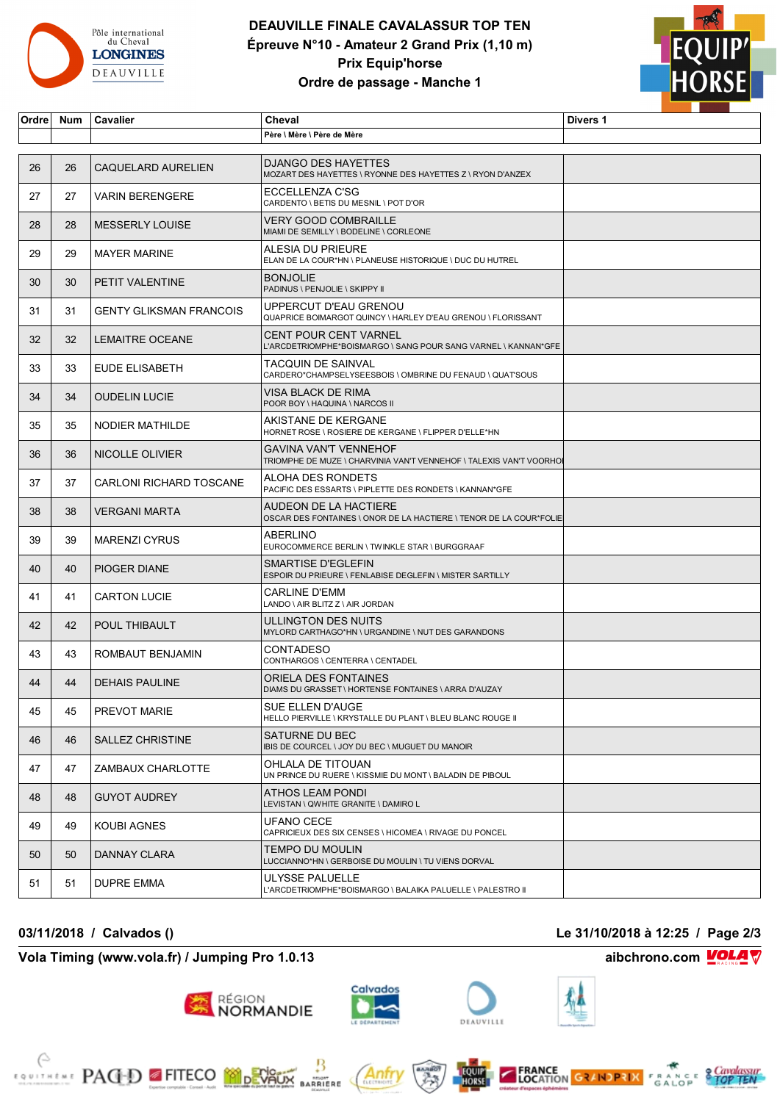

# **DEAUVILLE FINALE CAVALASSUR TOP TEN Épreuve N°10 - Amateur 2 Grand Prix (1,10 m) Prix Equip'horse Ordre de passage - Manche 1**



| Ordre | <b>Num</b> | Cavalier                       | Cheval                                                                                              | Divers 1 |
|-------|------------|--------------------------------|-----------------------------------------------------------------------------------------------------|----------|
|       |            |                                | Père \ Mère \ Père de Mère                                                                          |          |
|       |            |                                |                                                                                                     |          |
| 26    | 26         | CAQUELARD AURELIEN             | <b>DJANGO DES HAYETTES</b><br>MOZART DES HAYETTES \ RYONNE DES HAYETTES Z \ RYON D'ANZEX            |          |
| 27    | 27         | <b>VARIN BERENGERE</b>         | ECCELLENZA C'SG<br>CARDENTO \ BETIS DU MESNIL \ POT D'OR                                            |          |
| 28    | 28         | <b>MESSERLY LOUISE</b>         | <b>VERY GOOD COMBRAILLE</b><br>MIAMI DE SEMILLY \ BODELINE \ CORLEONE                               |          |
| 29    | 29         | <b>MAYER MARINE</b>            | ALESIA DU PRIEURE<br>ELAN DE LA COUR*HN \ PLANEUSE HISTORIQUE \ DUC DU HUTREL                       |          |
| 30    | 30         | PETIT VALENTINE                | <b>BONJOLIE</b><br>PADINUS \ PENJOLIE \ SKIPPY II                                                   |          |
| 31    | 31         | <b>GENTY GLIKSMAN FRANCOIS</b> | UPPERCUT D'EAU GRENOU<br>QUAPRICE BOIMARGOT QUINCY \ HARLEY D'EAU GRENOU \ FLORISSANT               |          |
| 32    | 32         | <b>LEMAITRE OCEANE</b>         | <b>CENT POUR CENT VARNEL</b><br>L'ARCDETRIOMPHE*BOISMARGO \ SANG POUR SANG VARNEL \ KANNAN*GFE      |          |
| 33    | 33         | EUDE ELISABETH                 | TACQUIN DE SAINVAL<br>CARDERO*CHAMPSELYSEESBOIS \ OMBRINE DU FENAUD \ QUATSOUS                      |          |
| 34    | 34         | <b>OUDELIN LUCIE</b>           | VISA BLACK DE RIMA<br>POOR BOY \ HAQUINA \ NARCOS II                                                |          |
| 35    | 35         | <b>NODIER MATHILDE</b>         | AKISTANE DE KERGANE<br>HORNET ROSE \ ROSIERE DE KERGANE \ FLIPPER D'ELLE*HN                         |          |
| 36    | 36         | NICOLLE OLIVIER                | <b>GAVINA VAN'T VENNEHOF</b><br>TRIOMPHE DE MUZE \ CHARVINIA VAN'T VENNEHOF \ TALEXIS VAN'T VOORHOI |          |
| 37    | 37         | <b>CARLONI RICHARD TOSCANE</b> | ALOHA DES RONDETS<br>PACIFIC DES ESSARTS \ PIPLETTE DES RONDETS \ KANNAN*GFE                        |          |
| 38    | 38         | <b>VERGANI MARTA</b>           | AUDEON DE LA HACTIERE<br>OSCAR DES FONTAINES \ ONOR DE LA HACTIERE \ TENOR DE LA COUR*FOLIE         |          |
| 39    | 39         | <b>MARENZI CYRUS</b>           | <b>ABERLINO</b><br>EUROCOMMERCE BERLIN \ TWINKLE STAR \ BURGGRAAF                                   |          |
| 40    | 40         | PIOGER DIANE                   | SMARTISE D'EGLEFIN<br>ESPOIR DU PRIEURE \ FENLABISE DEGLEFIN \ MISTER SARTILLY                      |          |
| 41    | 41         | <b>CARTON LUCIE</b>            | <b>CARLINE D'EMM</b><br>LANDO \ AIR BLITZ Z \ AIR JORDAN                                            |          |
| 42    | 42         | <b>POUL THIBAULT</b>           | ULLINGTON DES NUITS<br>MYLORD CARTHAGO*HN \ URGANDINE \ NUT DES GARANDONS                           |          |
| 43    | 43         | ROMBAUT BENJAMIN               | <b>CONTADESO</b><br>CONTHARGOS \ CENTERRA \ CENTADEL                                                |          |
| 44    | 44         | <b>DEHAIS PAULINE</b>          | ORIELA DES FONTAINES<br>DIAMS DU GRASSET \ HORTENSE FONTAINES \ ARRA D'AUZAY                        |          |
| 45    | 45         | PREVOT MARIE                   | SUE ELLEN D'AUGE<br>HELLO PIERVILLE \ KRYSTALLE DU PLANT \ BLEU BLANC ROUGE II                      |          |
| 46    | 46         | SALLEZ CHRISTINE               | SATURNE DU BEC<br>IBIS DE COURCEL \ JOY DU BEC \ MUGUET DU MANOIR                                   |          |
| 47    | 47         | ZAMBAUX CHARLOTTE              | OHLALA DE TITOUAN<br>UN PRINCE DU RUERE \ KISSMIE DU MONT \ BALADIN DE PIBOUL                       |          |
| 48    | 48         | <b>GUYOT AUDREY</b>            | ATHOS LEAM PONDI<br>LEVISTAN \ QWHITE GRANITE \ DAMIRO L                                            |          |
| 49    | 49         | KOUBI AGNES                    | UFANO CECE<br>CAPRICIEUX DES SIX CENSES \ HICOMEA \ RIVAGE DU PONCEL                                |          |
| 50    | 50         | DANNAY CLARA                   | TEMPO DU MOULIN<br>LUCCIANNO*HN \ GERBOISE DU MOULIN \ TU VIENS DORVAL                              |          |
| 51    | 51         | DUPRE EMMA                     | ULYSSE PALUELLE<br>L'ARCDETRIOMPHE*BOISMARGO \ BALAIKA PALUELLE \ PALESTRO II                       |          |

### **Vola Timing (www.vola.fr) / Jumping Pro 1.0.13 aibchrono.com VOLA**

**EXAMPLE PACED FITECO MODEVALLE** 

région<br>**NORMANDIE** 

₿

**MONT**<br>BARRIERE

### **03/11/2018 / Calvados () Le 31/10/2018 à 12:25 / Page 2/3**



Anfr